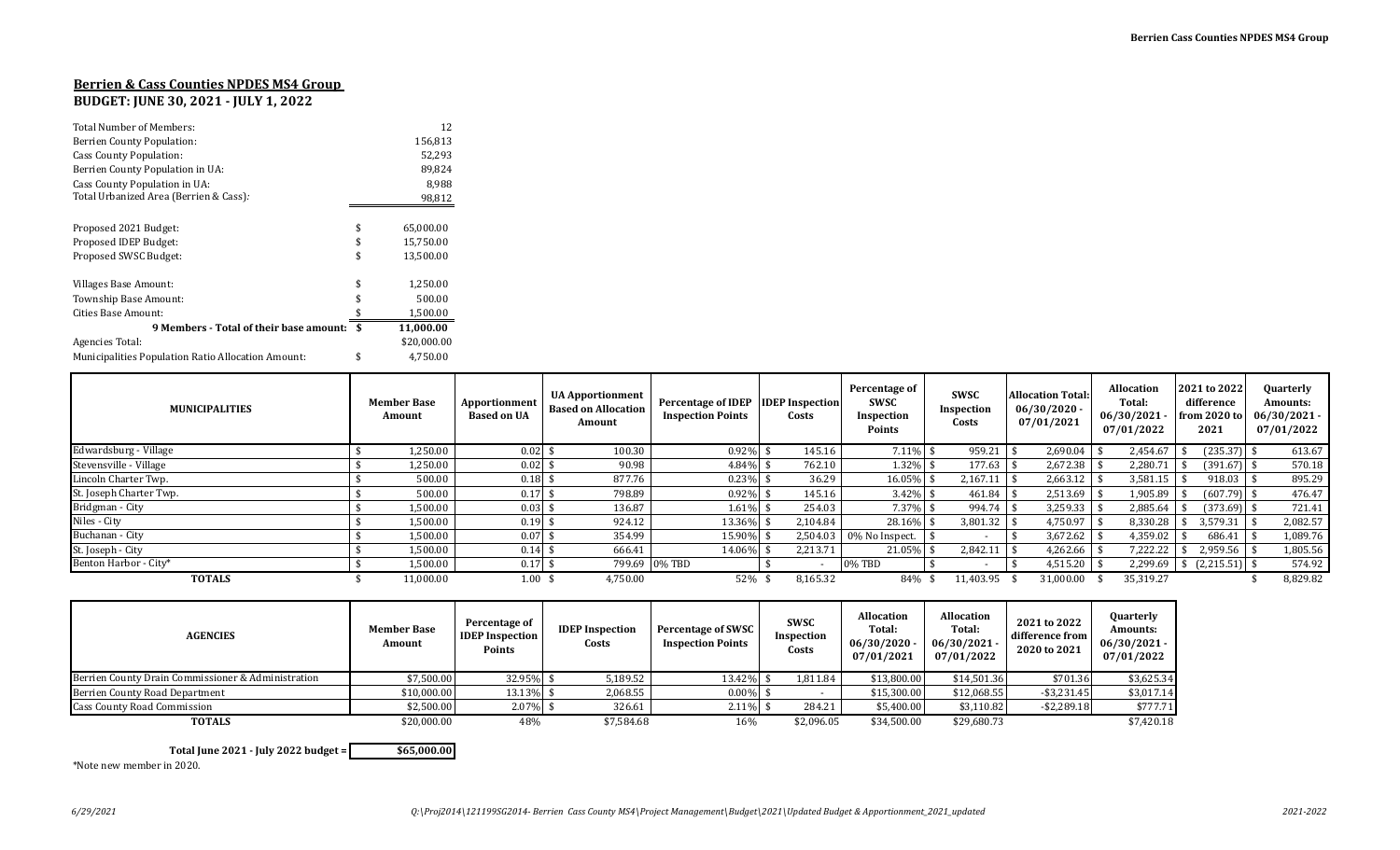## **Berrien & Cass Counties NPDES MS4 Group**

## **BUDGET: JUNE 30, 2021 - JULY 1, 2022**

| <b>Total Number of Members:</b>                           |     | 12          |
|-----------------------------------------------------------|-----|-------------|
| Berrien County Population:                                |     | 156,813     |
| Cass County Population:                                   |     | 52,293      |
| Berrien County Population in UA:                          |     | 89,824      |
| Cass County Population in UA:                             |     | 8,988       |
| Total Urbanized Area (Berrien & Cass):                    |     | 98,812      |
|                                                           |     |             |
| Proposed 2021 Budget:                                     | \$  | 65,000.00   |
| Proposed IDEP Budget:                                     | \$  | 15,750.00   |
| Proposed SWSC Budget:                                     | \$  | 13,500.00   |
| Villages Base Amount:                                     | \$  | 1,250.00    |
| Township Base Amount:                                     |     | 500.00      |
| Cities Base Amount:                                       |     | 1,500.00    |
| 9 Members - Total of their base amount:                   | -\$ | 11,000.00   |
| Agencies Total:                                           |     | \$20,000.00 |
| <b>Municipalities Population Ratio Allocation Amount:</b> | \$  | 4,750.00    |

| <b>MUNICIPALITIES</b>   | <b>Member Base</b><br>Amount | Apportionment<br><b>Based on UA</b> | <b>UA Apportionment</b><br><b>Based on Allocation</b><br>Amount | Percentage of IDEP IDEP Inspection<br><b>Inspection Points</b> | Costs    | Percentage of<br><b>SWSC</b><br>Inspection<br>Points | <b>SWSC</b><br>Inspection<br>Costs | <b>Allocation Total:</b><br>06/30/2020<br>07/01/2021 | <b>Allocation</b><br>Total:<br>06/30/2021<br>07/01/2022 | 2021 to 2022<br>difference<br>from 2020 to<br>2021 | Quarterly<br><b>Amounts:</b><br>$06/30/2021 -$<br>07/01/2022 |
|-------------------------|------------------------------|-------------------------------------|-----------------------------------------------------------------|----------------------------------------------------------------|----------|------------------------------------------------------|------------------------------------|------------------------------------------------------|---------------------------------------------------------|----------------------------------------------------|--------------------------------------------------------------|
| Edwardsburg - Village   | .250.00                      | 0.02                                | 100.30                                                          | 0.92%                                                          | 145.16   | 7.11%                                                | 959.21                             | 2,690.04                                             | 2.454.67                                                | $(235.37)$ \$                                      | 613.67                                                       |
| Stevensville - Village  | .250.00                      | $0.02 \text{ }$ \$                  | 90.98                                                           | 4.84%                                                          | 762.10   | 1.32%                                                | 177.63                             | 2,672.38                                             | 2,280.71                                                | $(391.67)$ \$                                      | 570.18                                                       |
| Lincoln Charter Twp.    | 500.00                       | 0.18                                | 877.76                                                          | 0.23%                                                          | 36.29    | 16.05%                                               | 2,167.13                           | 2,663.12                                             | 3,581.15                                                | $918.03$ \$                                        | 895.29                                                       |
| St. Joseph Charter Twp. | 500.00                       | 0.17                                | 798.89                                                          | 0.92%                                                          | 145.16   | 3.42%                                                | 461.84                             | 2,513.69                                             | 1,905.89                                                | $(607.79)$ \$                                      | 476.47                                                       |
| Bridgman - City         | 1,500.00                     | 0.03                                | 136.87                                                          | 1.61%                                                          | 254.03   | 7.37%                                                | 994.74                             | 3,259.33                                             | 2,885.64                                                | $(373.69)$ \$                                      | 721.41                                                       |
| Niles - City            | 1,500.00                     | 0.19                                | 924.12                                                          | 13.36%                                                         | 2,104.84 | 28.16%                                               | 3,801.32                           | 4,750.97                                             | 8,330.28                                                | 3,579.31                                           | 2,082.57                                                     |
| Buchanan - City         | 1,500.00                     | 0.07                                | 354.99                                                          | 15.90%                                                         | 2,504.03 | 0% No Inspect.                                       |                                    | 3,672.62                                             | 4,359.02                                                | 686.41                                             | 1,089.76                                                     |
| St. Joseph - City       | 1,500.00                     | 0.14                                | 666.41                                                          | 14.06%                                                         | 2,213.71 | 21.05%                                               | 2.842.11                           | 4,262.66                                             | 7,222.22                                                | $2,959.56$ \$                                      | 1,805.56                                                     |
| Benton Harbor - City*   | 1,500.00                     | 0.17                                |                                                                 | 799.69 0% TBD                                                  |          | 0% TBD                                               | $\overline{\phantom{a}}$           | 4,515.20                                             | 2,299.69                                                | $(2,215.51)$ \$                                    | 574.92                                                       |
| <b>TOTALS</b>           | 11,000.00                    | $1.00 \text{ }$ \$                  | 4,750.00                                                        | 52%                                                            | 8,165.32 | 84%                                                  | 11,403.95                          | 31,000.00                                            | 35,319.27                                               |                                                    | 8,829.82                                                     |

| <b>AGENCIES</b>                                    | <b>Member Base</b><br>Amount | Percentage of<br><b>IDEP</b> Inspection<br>Points | <b>IDEP</b> Inspection<br>Costs | Percentage of SWSC<br><b>Inspection Points</b> | <b>SWSC</b><br>Inspection<br>Costs | Allocation<br>Total:<br>06/30/2020<br>07/01/2021 | Allocation<br>Total:<br>$06/30/2021 -$<br>07/01/2022 | 2021 to 2022<br>difference from<br>2020 to 2021 | <b>Quarterly</b><br>Amounts:<br>$06/30/2021 -$<br>07/01/2022 |
|----------------------------------------------------|------------------------------|---------------------------------------------------|---------------------------------|------------------------------------------------|------------------------------------|--------------------------------------------------|------------------------------------------------------|-------------------------------------------------|--------------------------------------------------------------|
| Berrien County Drain Commissioner & Administration | \$7,500.00                   | 32.95%                                            | 5,189.52                        | 13.42%                                         | 1,811.84                           | \$13.800.00                                      | \$14,501.36                                          | \$701.36                                        | \$3,625.34                                                   |
| Berrien County Road Department                     | \$10,000.00                  | 13.13%                                            | 2,068.55                        | $0.00\%$                                       |                                    | \$15.300.00                                      | \$12,068.55                                          | $-$ \$3,231.45                                  | \$3,017.14                                                   |
| <b>Cass County Road Commission</b>                 | \$2,500.00                   | 2.07%                                             | 326.61                          | 2.11%                                          | 284.21                             | \$5,400.00                                       | \$3,110.82                                           | $-$ \$2,289.18                                  | \$777.71                                                     |
| <b>TOTALS</b>                                      | \$20,000.00                  | 48%                                               | \$7.584.68                      | 16%                                            | \$2,096.05                         | \$34,500.00                                      | \$29,680.73                                          |                                                 | \$7,420.18                                                   |

**Total June 2021 - July 2022 budget = \$65,000.00**

\*Note new member in 2020.